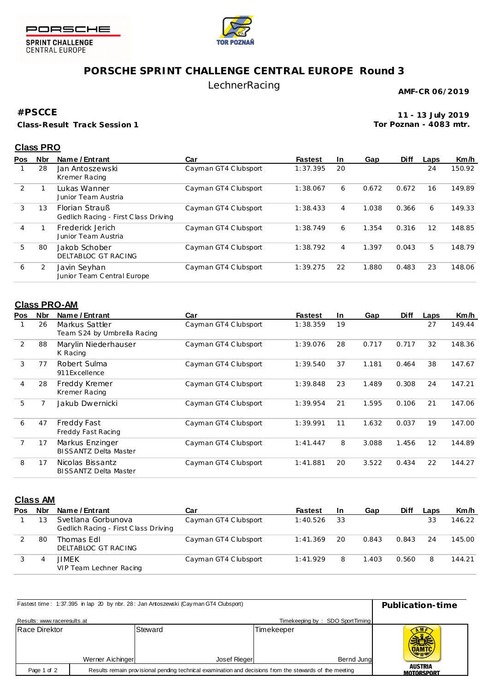



SPRINT CHALLENGE<br>CENTRAL EUROPE

## **PORSCHE SPRINT CHALLENGE CENTRAL EUROPE Round 3**

### LechnerRacing

**AMF-CR 06/2019**

#### **#PSCCE**

**Class-Result Track Session 1**

**11 - 13 July 2019 Tor Poznan - 4083 mtr.**

#### **Class PRO**

| <b>Pos</b>    | <b>Nbr</b> | Name / Entrant                                                | Car                  | <b>Fastest</b> | <b>In</b> | Gap   | <b>Diff</b> | Laps | Km/h   |
|---------------|------------|---------------------------------------------------------------|----------------------|----------------|-----------|-------|-------------|------|--------|
|               | 28         | Jan Antoszewski<br>Kremer Racing                              | Cayman GT4 Clubsport | 1:37.395       | 20        |       |             | 24   | 150.92 |
| $\mathcal{P}$ |            | <b>Lukas Wanner</b><br>Junior Team Austria                    | Cayman GT4 Clubsport | 1:38.067       | 6         | 0.672 | 0.672       | 16   | 149.89 |
| 3             | 13         | <b>Florian Strauß</b><br>Gedlich Racing - First Class Driving | Cayman GT4 Clubsport | 1:38.433       | 4         | 1.038 | 0.366       | 6    | 149.33 |
| 4             |            | Frederick Jerich<br>Junior Team Austria                       | Cayman GT4 Clubsport | 1:38.749       | 6         | 1.354 | 0.316       | 12   | 148.85 |
| 5             | 80         | Jakob Schober<br>DELTABLOC GT RAC ING                         | Cayman GT4 Clubsport | 1:38.792       | 4         | 1.397 | 0.043       | 5    | 148.79 |
| 6             | 2          | Javin Seyhan<br>Junior Team Central Europe                    | Cayman GT4 Clubsport | 1:39.275       | 22        | 1.880 | 0.483       | 23   | 148.06 |

#### **Class PRO-AM**

| Pos | <b>Nbr</b> | Name / Entrant                                   | Car                  | <b>Fastest</b> | <b>In</b> | Gap   | <b>Diff</b> | Laps | Km/h   |
|-----|------------|--------------------------------------------------|----------------------|----------------|-----------|-------|-------------|------|--------|
|     | 26         | Markus Sattler<br>Team S24 by Umbrella Racing    | Cayman GT4 Clubsport | 1:38.359       | 19        |       |             | 27   | 149.44 |
| 2   | 88         | Marylin Niederhauser<br>K Racing                 | Cayman GT4 Clubsport | 1:39.076       | 28        | 0.717 | 0.717       | 32   | 148.36 |
| 3   | 77         | Robert Sulma<br>911 Excellence                   | Cayman GT4 Clubsport | 1:39.540       | 37        | 1.181 | 0.464       | 38   | 147.67 |
| 4   | 28         | Freddy Kremer<br>Kremer Racing                   | Cayman GT4 Clubsport | 1:39.848       | 23        | 1.489 | 0.308       | 24   | 147.21 |
| 5   | 7          | Jakub Dwernicki                                  | Cayman GT4 Clubsport | 1:39.954       | 21        | 1.595 | 0.106       | 21   | 147.06 |
| 6   | 47         | Freddy Fast<br>Freddy Fast Racing                | Cayman GT4 Clubsport | 1:39.991       | 11        | 1.632 | 0.037       | 19   | 147.00 |
|     | 17         | Markus Enzinger<br><b>BISSANTZ Delta Master</b>  | Cayman GT4 Clubsport | 1:41.447       | 8         | 3.088 | 1.456       | 12   | 144.89 |
| 8   | 17         | Nicolas Bissantz<br><b>BISSANTZ Delta Master</b> | Cayman GT4 Clubsport | 1:41.881       | 20        | 3.522 | 0.434       | 22   | 144.27 |

### **Class AM**

| Pos | Nbr | Name / Entrant                                             | Car                  | <b>Fastest</b> | -In | Gap   | <b>Diff</b> | Laps | Km/h   |
|-----|-----|------------------------------------------------------------|----------------------|----------------|-----|-------|-------------|------|--------|
|     |     | Svetlana Gorbunova<br>Gedlich Racing - First Class Driving | Cayman GT4 Clubsport | 1:40.526       | -33 |       |             | 33   | 146.22 |
|     | 80  | Thomas Edl<br>DELTABLOC GT RACING                          | Cayman GT4 Clubsport | 1:41.369       | 20  | 0.843 | 0.843       | 24   | 145.00 |
|     | 4   | JIMEK<br>VIP Team Lechner Racing                           | Cayman GT4 Clubsport | 1:41.929       | 8   | 1.403 | 0.560       | 8    | 144.21 |

| Fastest time: 1:37.395 in lap 20 by nbr. 28: Jan Antoszewski (Cayman GT4 Clubsport) | Publication-time                                                                                        |                              |                                 |                            |
|-------------------------------------------------------------------------------------|---------------------------------------------------------------------------------------------------------|------------------------------|---------------------------------|----------------------------|
| Results: www.raceresults.at                                                         |                                                                                                         |                              | Timekeeping by: SDO SportTiming |                            |
| Race Direktor                                                                       |                                                                                                         | Steward                      | Timekeeper                      | <b>NMF</b><br><b>OAMTC</b> |
|                                                                                     | Werner Aichinger                                                                                        | Josef Rieger                 | Bernd Jung                      |                            |
| Page 1 of 2                                                                         | Results remain provisional pending technical examination and decisions from the stewards of the meeting | AUSTRIA<br><b>MOTORSPORT</b> |                                 |                            |